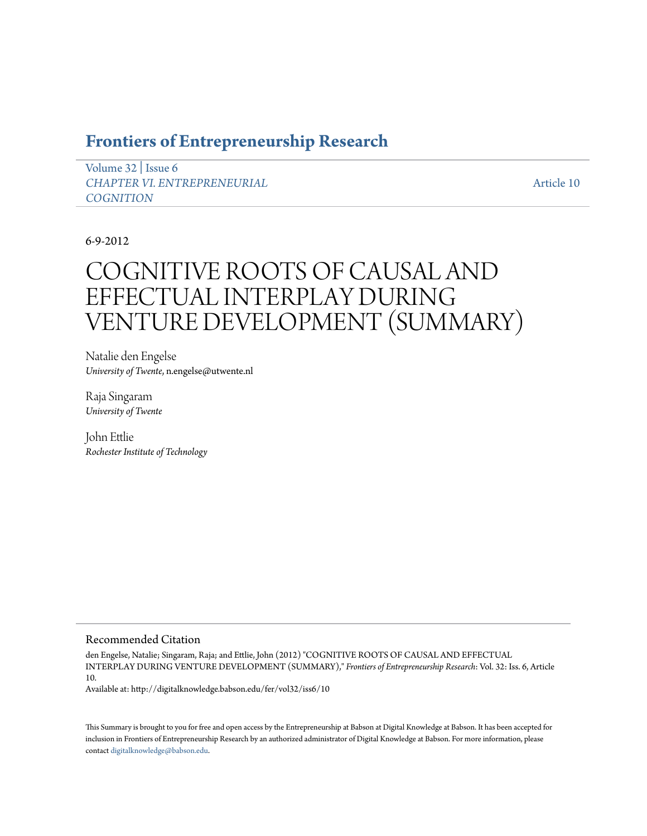# **[Frontiers of Entrepreneurship Research](http://digitalknowledge.babson.edu/fer)**

[Volume 32](http://digitalknowledge.babson.edu/fer/vol32) | [Issue 6](http://digitalknowledge.babson.edu/fer/vol32/iss6) *[CHAPTER VI. ENTREPRENEURIAL](http://digitalknowledge.babson.edu/fer/vol32/iss6) [COGNITION](http://digitalknowledge.babson.edu/fer/vol32/iss6)*

[Article 10](http://digitalknowledge.babson.edu/fer/vol32/iss6/10)

## 6-9-2012

# COGNITIVE ROOTS OF CAUSAL AND EFFECTUAL INTERPLAY DURING VENTURE DEVELOPMENT (SUMMARY)

Natalie den Engelse *University of Twente*, n.engelse@utwente.nl

Raja Singaram *University of Twente*

John Ettlie *Rochester Institute of Technology*

#### Recommended Citation

den Engelse, Natalie; Singaram, Raja; and Ettlie, John (2012) "COGNITIVE ROOTS OF CAUSAL AND EFFECTUAL INTERPLAY DURING VENTURE DEVELOPMENT (SUMMARY)," *Frontiers of Entrepreneurship Research*: Vol. 32: Iss. 6, Article 10.

Available at: http://digitalknowledge.babson.edu/fer/vol32/iss6/10

This Summary is brought to you for free and open access by the Entrepreneurship at Babson at Digital Knowledge at Babson. It has been accepted for inclusion in Frontiers of Entrepreneurship Research by an authorized administrator of Digital Knowledge at Babson. For more information, please contact [digitalknowledge@babson.edu](mailto:digitalknowledge@babson.edu).